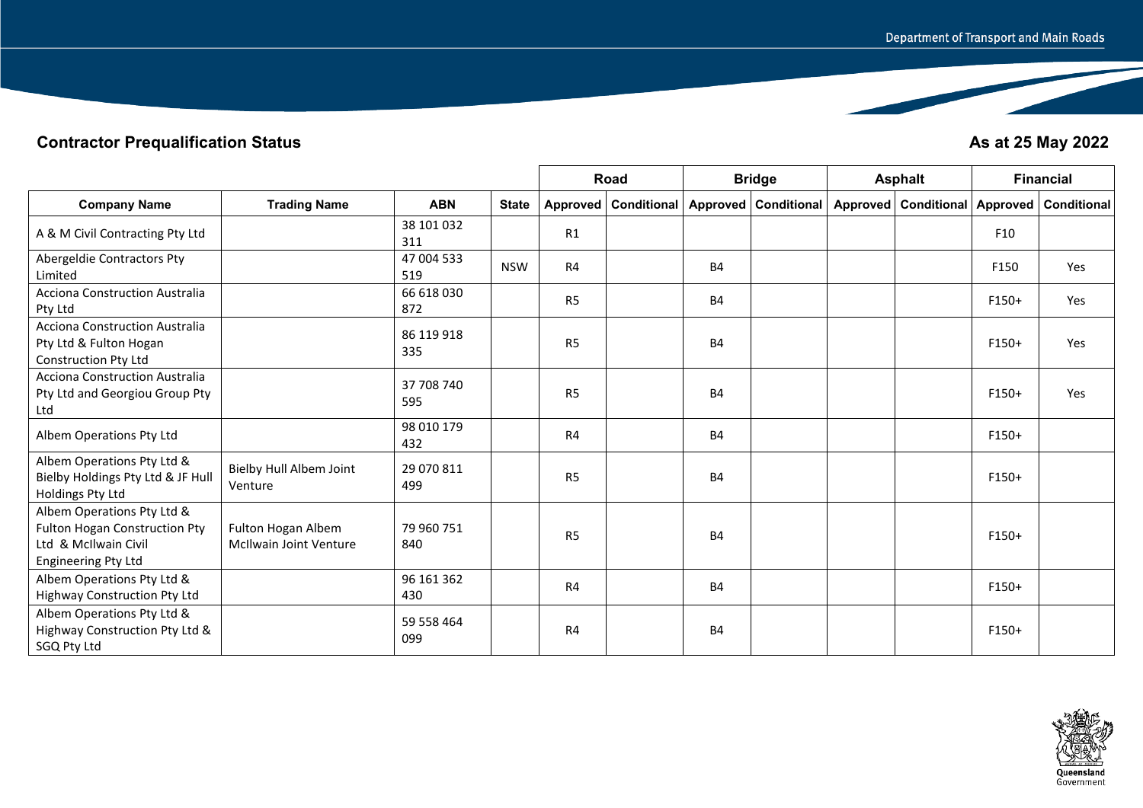## **Contractor Prequalification Status As at 25 May 2022**

|                                                                                                                          |                                                     |                   |              |                | Road                   |           | <b>Bridge</b>          | <b>Asphalt</b>                                  |         | <b>Financial</b> |
|--------------------------------------------------------------------------------------------------------------------------|-----------------------------------------------------|-------------------|--------------|----------------|------------------------|-----------|------------------------|-------------------------------------------------|---------|------------------|
| <b>Company Name</b>                                                                                                      | <b>Trading Name</b>                                 | <b>ABN</b>        | <b>State</b> |                | Approved   Conditional |           | Approved   Conditional | Approved   Conditional   Approved   Conditional |         |                  |
| A & M Civil Contracting Pty Ltd                                                                                          |                                                     | 38 101 032<br>311 |              | R1             |                        |           |                        |                                                 | F10     |                  |
| Abergeldie Contractors Pty<br>Limited                                                                                    |                                                     | 47 004 533<br>519 | <b>NSW</b>   | R4             |                        | <b>B4</b> |                        |                                                 | F150    | Yes              |
| <b>Acciona Construction Australia</b><br>Pty Ltd                                                                         |                                                     | 66 618 030<br>872 |              | R <sub>5</sub> |                        | <b>B4</b> |                        |                                                 | $F150+$ | Yes              |
| <b>Acciona Construction Australia</b><br>Pty Ltd & Fulton Hogan<br>Construction Pty Ltd                                  |                                                     | 86 119 918<br>335 |              | R <sub>5</sub> |                        | <b>B4</b> |                        |                                                 | $F150+$ | Yes              |
| <b>Acciona Construction Australia</b><br>Pty Ltd and Georgiou Group Pty<br>Ltd                                           |                                                     | 37 708 740<br>595 |              | R <sub>5</sub> |                        | <b>B4</b> |                        |                                                 | F150+   | Yes              |
| Albem Operations Pty Ltd                                                                                                 |                                                     | 98 010 179<br>432 |              | R4             |                        | <b>B4</b> |                        |                                                 | $F150+$ |                  |
| Albem Operations Pty Ltd &<br>Bielby Holdings Pty Ltd & JF Hull<br>Holdings Pty Ltd                                      | Bielby Hull Albem Joint<br>Venture                  | 29 070 811<br>499 |              | R <sub>5</sub> |                        | <b>B4</b> |                        |                                                 | $F150+$ |                  |
| Albem Operations Pty Ltd &<br><b>Fulton Hogan Construction Pty</b><br>Ltd & McIlwain Civil<br><b>Engineering Pty Ltd</b> | Fulton Hogan Albem<br><b>McIlwain Joint Venture</b> | 79 960 751<br>840 |              | R <sub>5</sub> |                        | <b>B4</b> |                        |                                                 | $F150+$ |                  |
| Albem Operations Pty Ltd &<br>Highway Construction Pty Ltd                                                               |                                                     | 96 161 362<br>430 |              | R <sub>4</sub> |                        | <b>B4</b> |                        |                                                 | $F150+$ |                  |
| Albem Operations Pty Ltd &<br>Highway Construction Pty Ltd &<br>SGQ Pty Ltd                                              |                                                     | 59 558 464<br>099 |              | R4             |                        | <b>B4</b> |                        |                                                 | $F150+$ |                  |

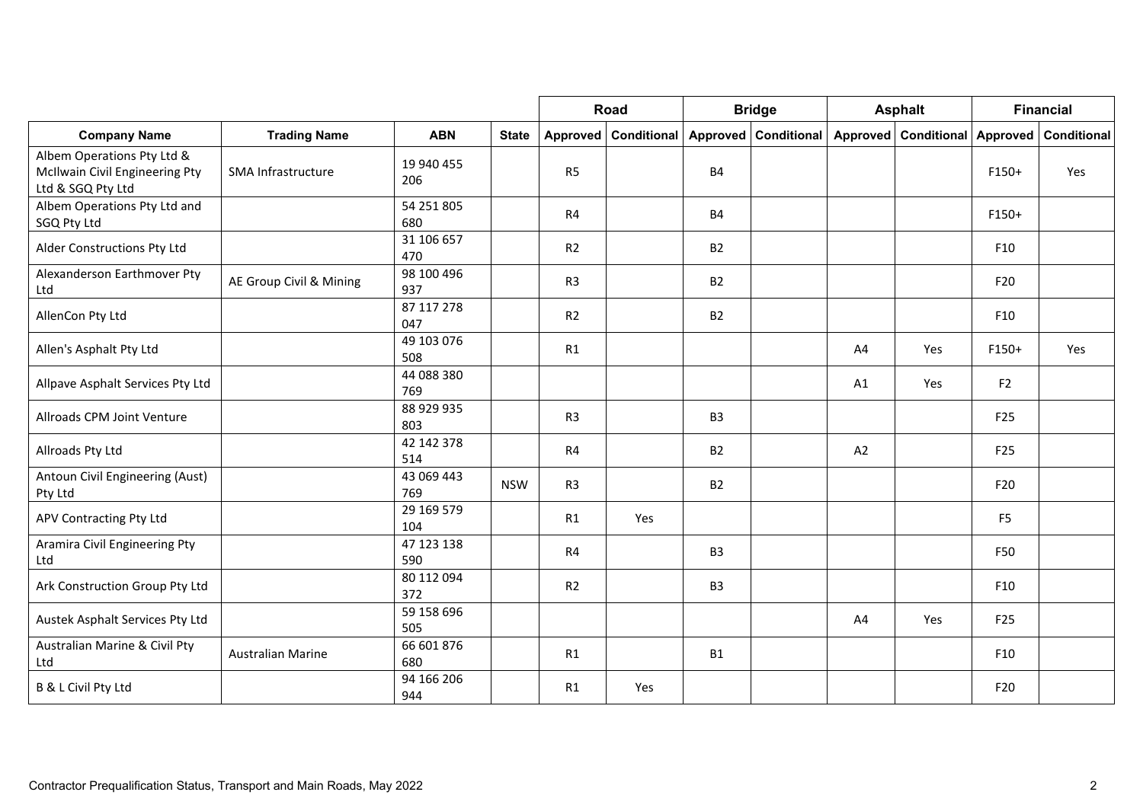|                                                                                   |                          |                   |              |                | Road                   |                | <b>Bridge</b>        |    | <b>Asphalt</b>                |                 | <b>Financial</b> |
|-----------------------------------------------------------------------------------|--------------------------|-------------------|--------------|----------------|------------------------|----------------|----------------------|----|-------------------------------|-----------------|------------------|
| <b>Company Name</b>                                                               | <b>Trading Name</b>      | <b>ABN</b>        | <b>State</b> |                | Approved   Conditional |                | Approved Conditional |    | Approved Conditional Approved |                 | Conditional      |
| Albem Operations Pty Ltd &<br>McIlwain Civil Engineering Pty<br>Ltd & SGQ Pty Ltd | SMA Infrastructure       | 19 940 455<br>206 |              | R <sub>5</sub> |                        | <b>B4</b>      |                      |    |                               | $F150+$         | Yes              |
| Albem Operations Pty Ltd and<br>SGQ Pty Ltd                                       |                          | 54 251 805<br>680 |              | R <sub>4</sub> |                        | <b>B4</b>      |                      |    |                               | $F150+$         |                  |
| Alder Constructions Pty Ltd                                                       |                          | 31 106 657<br>470 |              | R <sub>2</sub> |                        | <b>B2</b>      |                      |    |                               | F10             |                  |
| Alexanderson Earthmover Pty<br>Ltd                                                | AE Group Civil & Mining  | 98 100 496<br>937 |              | R <sub>3</sub> |                        | <b>B2</b>      |                      |    |                               | F <sub>20</sub> |                  |
| AllenCon Pty Ltd                                                                  |                          | 87 117 278<br>047 |              | R2             |                        | <b>B2</b>      |                      |    |                               | F10             |                  |
| Allen's Asphalt Pty Ltd                                                           |                          | 49 103 076<br>508 |              | R1             |                        |                |                      | A4 | Yes                           | $F150+$         | Yes              |
| Allpave Asphalt Services Pty Ltd                                                  |                          | 44 088 380<br>769 |              |                |                        |                |                      | A1 | Yes                           | F <sub>2</sub>  |                  |
| Allroads CPM Joint Venture                                                        |                          | 88 929 935<br>803 |              | R <sub>3</sub> |                        | B <sub>3</sub> |                      |    |                               | F <sub>25</sub> |                  |
| Allroads Pty Ltd                                                                  |                          | 42 142 378<br>514 |              | R4             |                        | <b>B2</b>      |                      | A2 |                               | F <sub>25</sub> |                  |
| Antoun Civil Engineering (Aust)<br>Pty Ltd                                        |                          | 43 069 443<br>769 | <b>NSW</b>   | R <sub>3</sub> |                        | <b>B2</b>      |                      |    |                               | F <sub>20</sub> |                  |
| APV Contracting Pty Ltd                                                           |                          | 29 169 579<br>104 |              | R1             | Yes                    |                |                      |    |                               | F <sub>5</sub>  |                  |
| Aramira Civil Engineering Pty<br>Ltd                                              |                          | 47 123 138<br>590 |              | R4             |                        | B <sub>3</sub> |                      |    |                               | F50             |                  |
| Ark Construction Group Pty Ltd                                                    |                          | 80 112 094<br>372 |              | R2             |                        | B <sub>3</sub> |                      |    |                               | F10             |                  |
| Austek Asphalt Services Pty Ltd                                                   |                          | 59 158 696<br>505 |              |                |                        |                |                      | A4 | <b>Yes</b>                    | F <sub>25</sub> |                  |
| Australian Marine & Civil Pty<br>Ltd                                              | <b>Australian Marine</b> | 66 601 876<br>680 |              | R1             |                        | <b>B1</b>      |                      |    |                               | F10             |                  |
| B & L Civil Pty Ltd                                                               |                          | 94 166 206<br>944 |              | R1             | Yes                    |                |                      |    |                               | F20             |                  |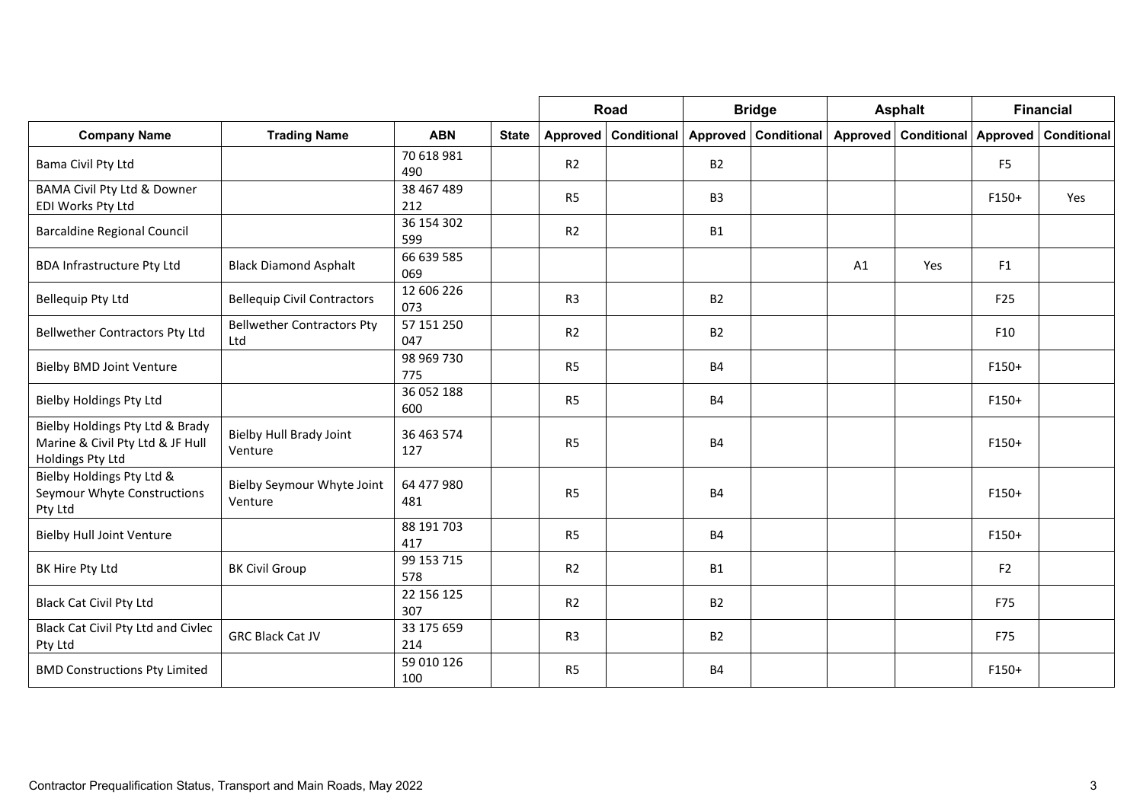|                                                                                         |                                          |                   |              |                | Road                   |                | <b>Bridge</b>        |    | <b>Asphalt</b>       |                 | <b>Financial</b>   |
|-----------------------------------------------------------------------------------------|------------------------------------------|-------------------|--------------|----------------|------------------------|----------------|----------------------|----|----------------------|-----------------|--------------------|
| <b>Company Name</b>                                                                     | <b>Trading Name</b>                      | <b>ABN</b>        | <b>State</b> |                | Approved   Conditional |                | Approved Conditional |    | Approved Conditional | <b>Approved</b> | <b>Conditional</b> |
| Bama Civil Pty Ltd                                                                      |                                          | 70 618 981<br>490 |              | R <sub>2</sub> |                        | <b>B2</b>      |                      |    |                      | F <sub>5</sub>  |                    |
| BAMA Civil Pty Ltd & Downer<br>EDI Works Pty Ltd                                        |                                          | 38 467 489<br>212 |              | R <sub>5</sub> |                        | B <sub>3</sub> |                      |    |                      | F150+           | Yes                |
| <b>Barcaldine Regional Council</b>                                                      |                                          | 36 154 302<br>599 |              | R <sub>2</sub> |                        | <b>B1</b>      |                      |    |                      |                 |                    |
| <b>BDA Infrastructure Pty Ltd</b>                                                       | <b>Black Diamond Asphalt</b>             | 66 639 585<br>069 |              |                |                        |                |                      | A1 | Yes                  | F1              |                    |
| <b>Bellequip Pty Ltd</b>                                                                | <b>Bellequip Civil Contractors</b>       | 12 606 226<br>073 |              | R <sub>3</sub> |                        | <b>B2</b>      |                      |    |                      | F25             |                    |
| <b>Bellwether Contractors Pty Ltd</b>                                                   | <b>Bellwether Contractors Pty</b><br>Ltd | 57 151 250<br>047 |              | R <sub>2</sub> |                        | <b>B2</b>      |                      |    |                      | F <sub>10</sub> |                    |
| <b>Bielby BMD Joint Venture</b>                                                         |                                          | 98 969 730<br>775 |              | R <sub>5</sub> |                        | <b>B4</b>      |                      |    |                      | $F150+$         |                    |
| <b>Bielby Holdings Pty Ltd</b>                                                          |                                          | 36 052 188<br>600 |              | R <sub>5</sub> |                        | <b>B4</b>      |                      |    |                      | $F150+$         |                    |
| Bielby Holdings Pty Ltd & Brady<br>Marine & Civil Pty Ltd & JF Hull<br>Holdings Pty Ltd | Bielby Hull Brady Joint<br>Venture       | 36 463 574<br>127 |              | R <sub>5</sub> |                        | <b>B4</b>      |                      |    |                      | $F150+$         |                    |
| Bielby Holdings Pty Ltd &<br>Seymour Whyte Constructions<br>Pty Ltd                     | Bielby Seymour Whyte Joint<br>Venture    | 64 477 980<br>481 |              | R <sub>5</sub> |                        | <b>B4</b>      |                      |    |                      | $F150+$         |                    |
| <b>Bielby Hull Joint Venture</b>                                                        |                                          | 88 191 703<br>417 |              | R <sub>5</sub> |                        | <b>B4</b>      |                      |    |                      | $F150+$         |                    |
| BK Hire Pty Ltd                                                                         | <b>BK Civil Group</b>                    | 99 153 715<br>578 |              | R <sub>2</sub> |                        | <b>B1</b>      |                      |    |                      | F <sub>2</sub>  |                    |
| <b>Black Cat Civil Pty Ltd</b>                                                          |                                          | 22 156 125<br>307 |              | R2             |                        | <b>B2</b>      |                      |    |                      | F75             |                    |
| Black Cat Civil Pty Ltd and Civlec<br>Pty Ltd                                           | <b>GRC Black Cat JV</b>                  | 33 175 659<br>214 |              | R <sub>3</sub> |                        | <b>B2</b>      |                      |    |                      | F75             |                    |
| <b>BMD Constructions Pty Limited</b>                                                    |                                          | 59 010 126<br>100 |              | R <sub>5</sub> |                        | <b>B4</b>      |                      |    |                      | F150+           |                    |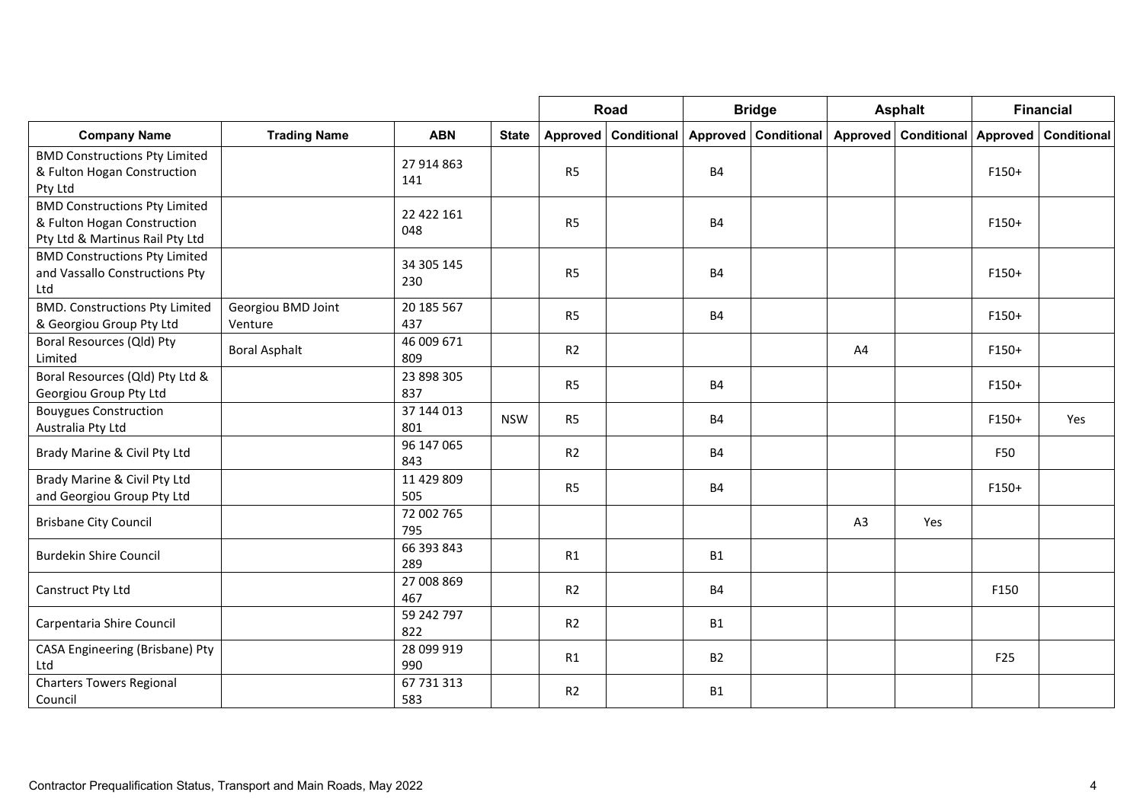|                                                                                                        |                               |                   |              |                | Road                 |           | <b>Bridge</b>      |          | <b>Asphalt</b>     |                 | <b>Financial</b> |
|--------------------------------------------------------------------------------------------------------|-------------------------------|-------------------|--------------|----------------|----------------------|-----------|--------------------|----------|--------------------|-----------------|------------------|
| <b>Company Name</b>                                                                                    | <b>Trading Name</b>           | <b>ABN</b>        | <b>State</b> |                | Approved Conditional | Approved  | <b>Conditional</b> | Approved | <b>Conditional</b> | Approved        | Conditional      |
| <b>BMD Constructions Pty Limited</b><br>& Fulton Hogan Construction<br>Pty Ltd                         |                               | 27 914 863<br>141 |              | R <sub>5</sub> |                      | <b>B4</b> |                    |          |                    | $F150+$         |                  |
| <b>BMD Constructions Pty Limited</b><br>& Fulton Hogan Construction<br>Pty Ltd & Martinus Rail Pty Ltd |                               | 22 422 161<br>048 |              | R <sub>5</sub> |                      | <b>B4</b> |                    |          |                    | $F150+$         |                  |
| <b>BMD Constructions Pty Limited</b><br>and Vassallo Constructions Pty<br>Ltd                          |                               | 34 305 145<br>230 |              | R <sub>5</sub> |                      | <b>B4</b> |                    |          |                    | $F150+$         |                  |
| <b>BMD. Constructions Pty Limited</b><br>& Georgiou Group Pty Ltd                                      | Georgiou BMD Joint<br>Venture | 20 185 567<br>437 |              | R <sub>5</sub> |                      | <b>B4</b> |                    |          |                    | $F150+$         |                  |
| Boral Resources (Qld) Pty<br>Limited                                                                   | <b>Boral Asphalt</b>          | 46 009 671<br>809 |              | R <sub>2</sub> |                      |           |                    | A4       |                    | $F150+$         |                  |
| Boral Resources (Qld) Pty Ltd &<br>Georgiou Group Pty Ltd                                              |                               | 23 898 305<br>837 |              | <b>R5</b>      |                      | <b>B4</b> |                    |          |                    | $F150+$         |                  |
| <b>Bouygues Construction</b><br>Australia Pty Ltd                                                      |                               | 37 144 013<br>801 | <b>NSW</b>   | R <sub>5</sub> |                      | <b>B4</b> |                    |          |                    | F150+           | Yes              |
| Brady Marine & Civil Pty Ltd                                                                           |                               | 96 147 065<br>843 |              | R <sub>2</sub> |                      | <b>B4</b> |                    |          |                    | F50             |                  |
| Brady Marine & Civil Pty Ltd<br>and Georgiou Group Pty Ltd                                             |                               | 11 429 809<br>505 |              | R <sub>5</sub> |                      | <b>B4</b> |                    |          |                    | F150+           |                  |
| <b>Brisbane City Council</b>                                                                           |                               | 72 002 765<br>795 |              |                |                      |           |                    | A3       | Yes                |                 |                  |
| <b>Burdekin Shire Council</b>                                                                          |                               | 66 393 843<br>289 |              | R1             |                      | <b>B1</b> |                    |          |                    |                 |                  |
| Canstruct Pty Ltd                                                                                      |                               | 27 008 869<br>467 |              | R <sub>2</sub> |                      | <b>B4</b> |                    |          |                    | F150            |                  |
| Carpentaria Shire Council                                                                              |                               | 59 242 797<br>822 |              | R2             |                      | <b>B1</b> |                    |          |                    |                 |                  |
| CASA Engineering (Brisbane) Pty<br>Ltd                                                                 |                               | 28 099 919<br>990 |              | R1             |                      | <b>B2</b> |                    |          |                    | F <sub>25</sub> |                  |
| <b>Charters Towers Regional</b><br>Council                                                             |                               | 67 731 313<br>583 |              | R <sub>2</sub> |                      | <b>B1</b> |                    |          |                    |                 |                  |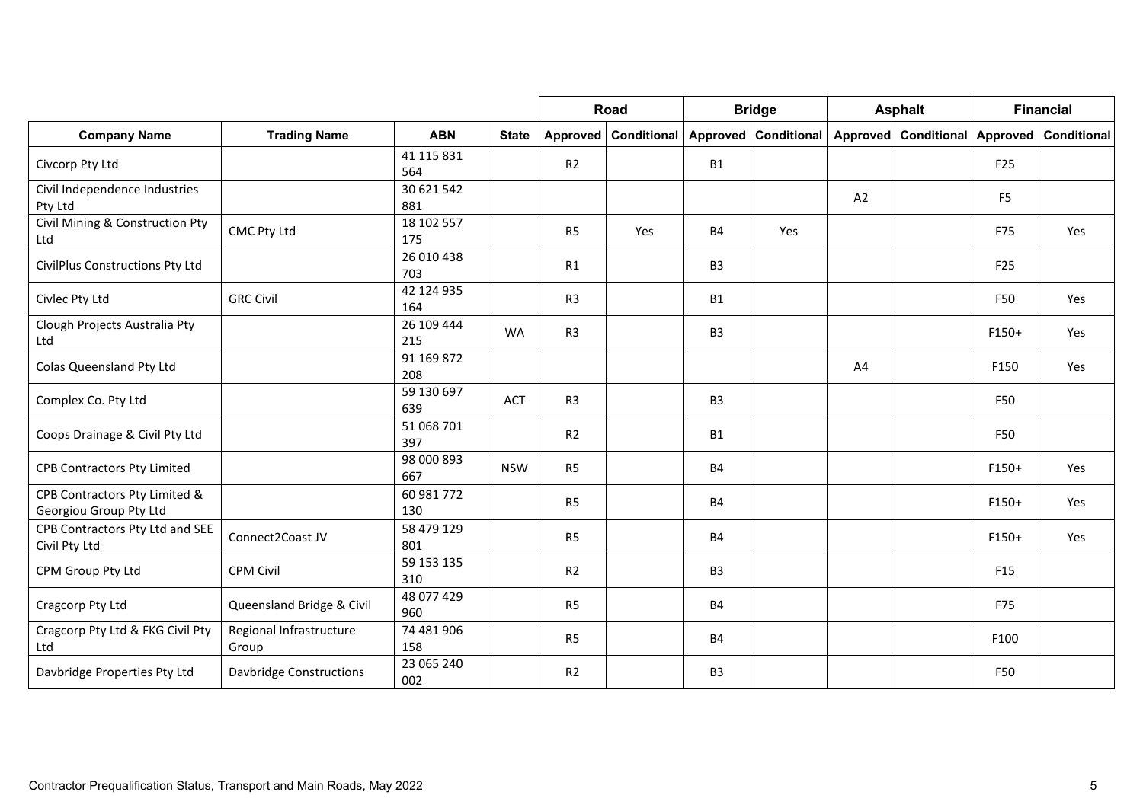|                                                         |                                  |                   |              |                | <b>Road</b>          |                | <b>Bridge</b>        |    | <b>Asphalt</b>                                  |                | <b>Financial</b> |
|---------------------------------------------------------|----------------------------------|-------------------|--------------|----------------|----------------------|----------------|----------------------|----|-------------------------------------------------|----------------|------------------|
| <b>Company Name</b>                                     | <b>Trading Name</b>              | <b>ABN</b>        | <b>State</b> |                | Approved Conditional |                | Approved Conditional |    | Approved   Conditional   Approved   Conditional |                |                  |
| Civcorp Pty Ltd                                         |                                  | 41 115 831<br>564 |              | R <sub>2</sub> |                      | <b>B1</b>      |                      |    |                                                 | F25            |                  |
| Civil Independence Industries<br>Pty Ltd                |                                  | 30 621 542<br>881 |              |                |                      |                |                      | A2 |                                                 | F <sub>5</sub> |                  |
| Civil Mining & Construction Pty<br>Ltd                  | CMC Pty Ltd                      | 18 102 557<br>175 |              | R <sub>5</sub> | Yes                  | <b>B4</b>      | Yes                  |    |                                                 | F75            | Yes              |
| CivilPlus Constructions Pty Ltd                         |                                  | 26 010 438<br>703 |              | R1             |                      | B <sub>3</sub> |                      |    |                                                 | F25            |                  |
| Civlec Pty Ltd                                          | <b>GRC Civil</b>                 | 42 124 935<br>164 |              | R <sub>3</sub> |                      | <b>B1</b>      |                      |    |                                                 | F50            | Yes              |
| Clough Projects Australia Pty<br>Ltd                    |                                  | 26 109 444<br>215 | <b>WA</b>    | R <sub>3</sub> |                      | B <sub>3</sub> |                      |    |                                                 | F150+          | Yes              |
| Colas Queensland Pty Ltd                                |                                  | 91 169 872<br>208 |              |                |                      |                |                      | A4 |                                                 | F150           | Yes              |
| Complex Co. Pty Ltd                                     |                                  | 59 130 697<br>639 | <b>ACT</b>   | R <sub>3</sub> |                      | B <sub>3</sub> |                      |    |                                                 | F50            |                  |
| Coops Drainage & Civil Pty Ltd                          |                                  | 51 068 701<br>397 |              | R <sub>2</sub> |                      | <b>B1</b>      |                      |    |                                                 | F50            |                  |
| <b>CPB Contractors Pty Limited</b>                      |                                  | 98 000 893<br>667 | <b>NSW</b>   | R <sub>5</sub> |                      | <b>B4</b>      |                      |    |                                                 | F150+          | Yes              |
| CPB Contractors Pty Limited &<br>Georgiou Group Pty Ltd |                                  | 60 981 772<br>130 |              | R <sub>5</sub> |                      | <b>B4</b>      |                      |    |                                                 | $F150+$        | Yes              |
| CPB Contractors Pty Ltd and SEE<br>Civil Pty Ltd        | Connect2Coast JV                 | 58 479 129<br>801 |              | R <sub>5</sub> |                      | <b>B4</b>      |                      |    |                                                 | $F150+$        | Yes              |
| CPM Group Pty Ltd                                       | <b>CPM Civil</b>                 | 59 153 135<br>310 |              | R <sub>2</sub> |                      | B <sub>3</sub> |                      |    |                                                 | F15            |                  |
| Cragcorp Pty Ltd                                        | Queensland Bridge & Civil        | 48 077 429<br>960 |              | R <sub>5</sub> |                      | <b>B4</b>      |                      |    |                                                 | F75            |                  |
| Cragcorp Pty Ltd & FKG Civil Pty<br>Ltd                 | Regional Infrastructure<br>Group | 74 481 906<br>158 |              | R <sub>5</sub> |                      | <b>B4</b>      |                      |    |                                                 | F100           |                  |
| Davbridge Properties Pty Ltd                            | <b>Davbridge Constructions</b>   | 23 065 240<br>002 |              | R <sub>2</sub> |                      | B <sub>3</sub> |                      |    |                                                 | F50            |                  |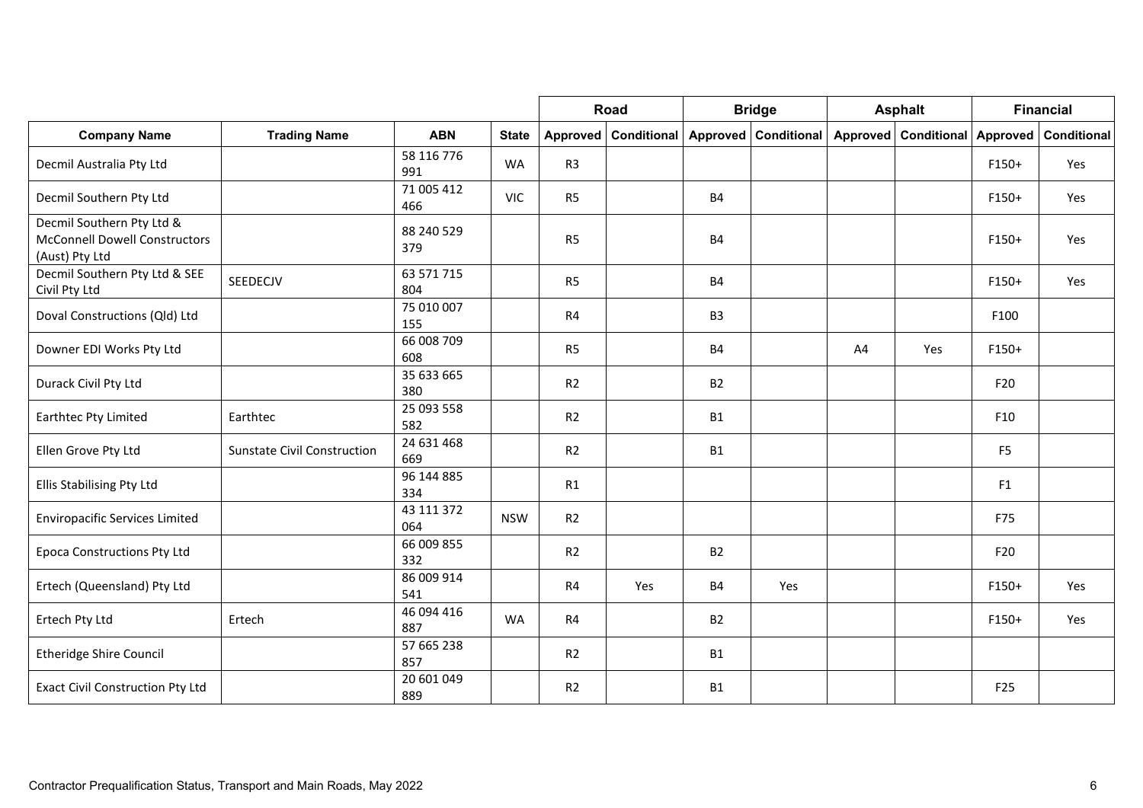|                                                                                     |                                    |                   |              |                | Road                   |                | <b>Bridge</b>      |          | <b>Asphalt</b> |                | <b>Financial</b> |
|-------------------------------------------------------------------------------------|------------------------------------|-------------------|--------------|----------------|------------------------|----------------|--------------------|----------|----------------|----------------|------------------|
| <b>Company Name</b>                                                                 | <b>Trading Name</b>                | <b>ABN</b>        | <b>State</b> |                | Approved   Conditional | Approved       | <b>Conditional</b> | Approved | Conditional    | Approved       | Conditional      |
| Decmil Australia Pty Ltd                                                            |                                    | 58 116 776<br>991 | <b>WA</b>    | R <sub>3</sub> |                        |                |                    |          |                | $F150+$        | Yes              |
| Decmil Southern Pty Ltd                                                             |                                    | 71 005 412<br>466 | <b>VIC</b>   | R <sub>5</sub> |                        | <b>B4</b>      |                    |          |                | $F150+$        | Yes              |
| Decmil Southern Pty Ltd &<br><b>McConnell Dowell Constructors</b><br>(Aust) Pty Ltd |                                    | 88 240 529<br>379 |              | R <sub>5</sub> |                        | <b>B4</b>      |                    |          |                | F150+          | Yes              |
| Decmil Southern Pty Ltd & SEE<br>Civil Pty Ltd                                      | SEEDECJV                           | 63 571 715<br>804 |              | R <sub>5</sub> |                        | <b>B4</b>      |                    |          |                | $F150+$        | Yes              |
| Doval Constructions (Qld) Ltd                                                       |                                    | 75 010 007<br>155 |              | R4             |                        | B <sub>3</sub> |                    |          |                | F100           |                  |
| Downer EDI Works Pty Ltd                                                            |                                    | 66 008 709<br>608 |              | R <sub>5</sub> |                        | <b>B4</b>      |                    | A4       | Yes            | $F150+$        |                  |
| Durack Civil Pty Ltd                                                                |                                    | 35 633 665<br>380 |              | R2             |                        | <b>B2</b>      |                    |          |                | F20            |                  |
| Earthtec Pty Limited                                                                | Earthtec                           | 25 093 558<br>582 |              | R2             |                        | <b>B1</b>      |                    |          |                | F10            |                  |
| Ellen Grove Pty Ltd                                                                 | <b>Sunstate Civil Construction</b> | 24 631 468<br>669 |              | R2             |                        | <b>B1</b>      |                    |          |                | F <sub>5</sub> |                  |
| Ellis Stabilising Pty Ltd                                                           |                                    | 96 144 885<br>334 |              | R1             |                        |                |                    |          |                | F1             |                  |
| <b>Enviropacific Services Limited</b>                                               |                                    | 43 111 372<br>064 | <b>NSW</b>   | R2             |                        |                |                    |          |                | F75            |                  |
| <b>Epoca Constructions Pty Ltd</b>                                                  |                                    | 66 009 855<br>332 |              | R2             |                        | <b>B2</b>      |                    |          |                | F20            |                  |
| Ertech (Queensland) Pty Ltd                                                         |                                    | 86 009 914<br>541 |              | R4             | Yes                    | <b>B4</b>      | Yes                |          |                | $F150+$        | Yes              |
| Ertech Pty Ltd                                                                      | Ertech                             | 46 094 416<br>887 | <b>WA</b>    | R4             |                        | <b>B2</b>      |                    |          |                | $F150+$        | Yes              |
| <b>Etheridge Shire Council</b>                                                      |                                    | 57 665 238<br>857 |              | R2             |                        | <b>B1</b>      |                    |          |                |                |                  |
| <b>Exact Civil Construction Pty Ltd</b>                                             |                                    | 20 601 049<br>889 |              | R <sub>2</sub> |                        | <b>B1</b>      |                    |          |                | F25            |                  |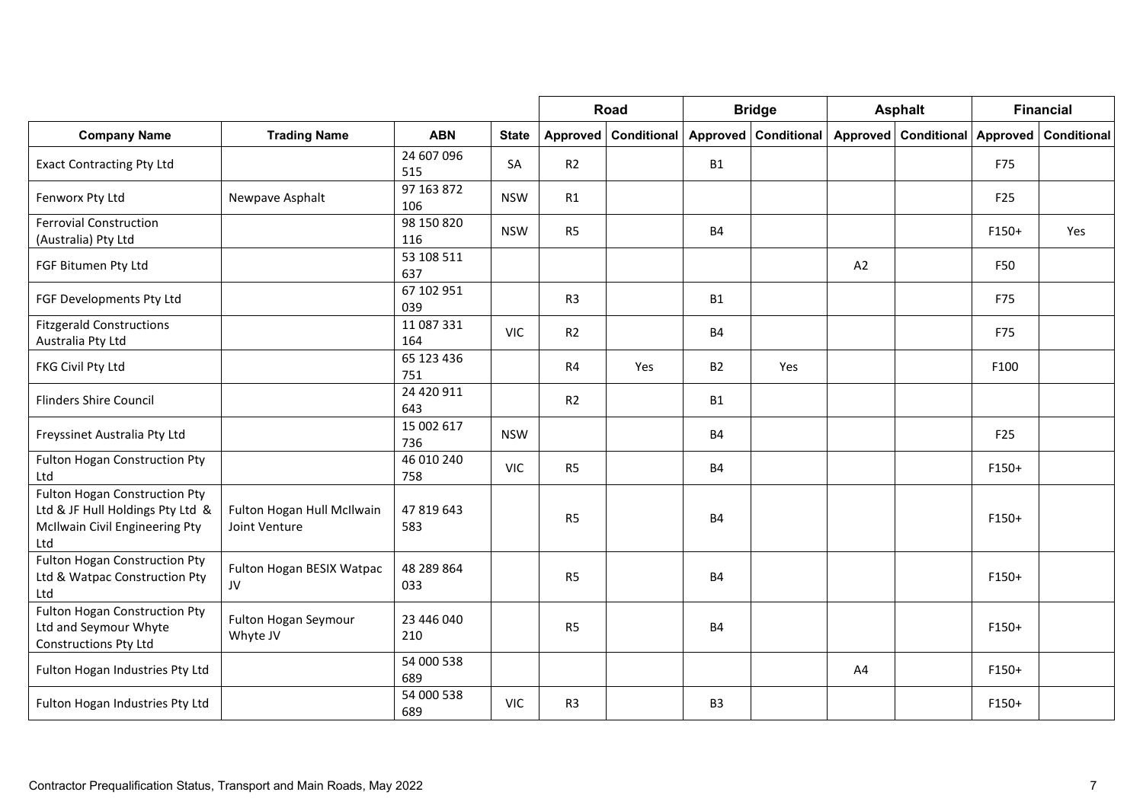|                                                                                                            |                                             |                   |              |                | Road                   |                | <b>Bridge</b>          |    | <b>Asphalt</b>       |                 | <b>Financial</b> |
|------------------------------------------------------------------------------------------------------------|---------------------------------------------|-------------------|--------------|----------------|------------------------|----------------|------------------------|----|----------------------|-----------------|------------------|
| <b>Company Name</b>                                                                                        | <b>Trading Name</b>                         | <b>ABN</b>        | <b>State</b> |                | Approved   Conditional |                | Approved   Conditional |    | Approved Conditional | Approved        | Conditional      |
| <b>Exact Contracting Pty Ltd</b>                                                                           |                                             | 24 607 096<br>515 | <b>SA</b>    | R <sub>2</sub> |                        | <b>B1</b>      |                        |    |                      | F75             |                  |
| Fenworx Pty Ltd                                                                                            | Newpave Asphalt                             | 97 163 872<br>106 | <b>NSW</b>   | R1             |                        |                |                        |    |                      | F <sub>25</sub> |                  |
| <b>Ferrovial Construction</b><br>(Australia) Pty Ltd                                                       |                                             | 98 150 820<br>116 | <b>NSW</b>   | R <sub>5</sub> |                        | <b>B4</b>      |                        |    |                      | F150+           | Yes              |
| FGF Bitumen Pty Ltd                                                                                        |                                             | 53 108 511<br>637 |              |                |                        |                |                        | A2 |                      | F50             |                  |
| FGF Developments Pty Ltd                                                                                   |                                             | 67 102 951<br>039 |              | R <sub>3</sub> |                        | <b>B1</b>      |                        |    |                      | F75             |                  |
| <b>Fitzgerald Constructions</b><br>Australia Pty Ltd                                                       |                                             | 11 087 331<br>164 | <b>VIC</b>   | R <sub>2</sub> |                        | <b>B4</b>      |                        |    |                      | F75             |                  |
| FKG Civil Pty Ltd                                                                                          |                                             | 65 123 436<br>751 |              | R4             | Yes                    | <b>B2</b>      | Yes                    |    |                      | F100            |                  |
| <b>Flinders Shire Council</b>                                                                              |                                             | 24 420 911<br>643 |              | R2             |                        | <b>B1</b>      |                        |    |                      |                 |                  |
| Freyssinet Australia Pty Ltd                                                                               |                                             | 15 002 617<br>736 | <b>NSW</b>   |                |                        | <b>B4</b>      |                        |    |                      | F25             |                  |
| <b>Fulton Hogan Construction Pty</b><br>Ltd                                                                |                                             | 46 010 240<br>758 | <b>VIC</b>   | R <sub>5</sub> |                        | <b>B4</b>      |                        |    |                      | F150+           |                  |
| Fulton Hogan Construction Pty<br>Ltd & JF Hull Holdings Pty Ltd &<br>McIlwain Civil Engineering Pty<br>Ltd | Fulton Hogan Hull McIlwain<br>Joint Venture | 47 819 643<br>583 |              | R <sub>5</sub> |                        | <b>B4</b>      |                        |    |                      | F150+           |                  |
| <b>Fulton Hogan Construction Pty</b><br>Ltd & Watpac Construction Pty<br>Ltd                               | Fulton Hogan BESIX Watpac<br>JV             | 48 289 864<br>033 |              | R <sub>5</sub> |                        | <b>B4</b>      |                        |    |                      | F150+           |                  |
| <b>Fulton Hogan Construction Pty</b><br>Ltd and Seymour Whyte<br>Constructions Pty Ltd                     | Fulton Hogan Seymour<br>Whyte JV            | 23 446 040<br>210 |              | <b>R5</b>      |                        | <b>B4</b>      |                        |    |                      | F150+           |                  |
| Fulton Hogan Industries Pty Ltd                                                                            |                                             | 54 000 538<br>689 |              |                |                        |                |                        | A4 |                      | F150+           |                  |
| Fulton Hogan Industries Pty Ltd                                                                            |                                             | 54 000 538<br>689 | <b>VIC</b>   | R <sub>3</sub> |                        | B <sub>3</sub> |                        |    |                      | F150+           |                  |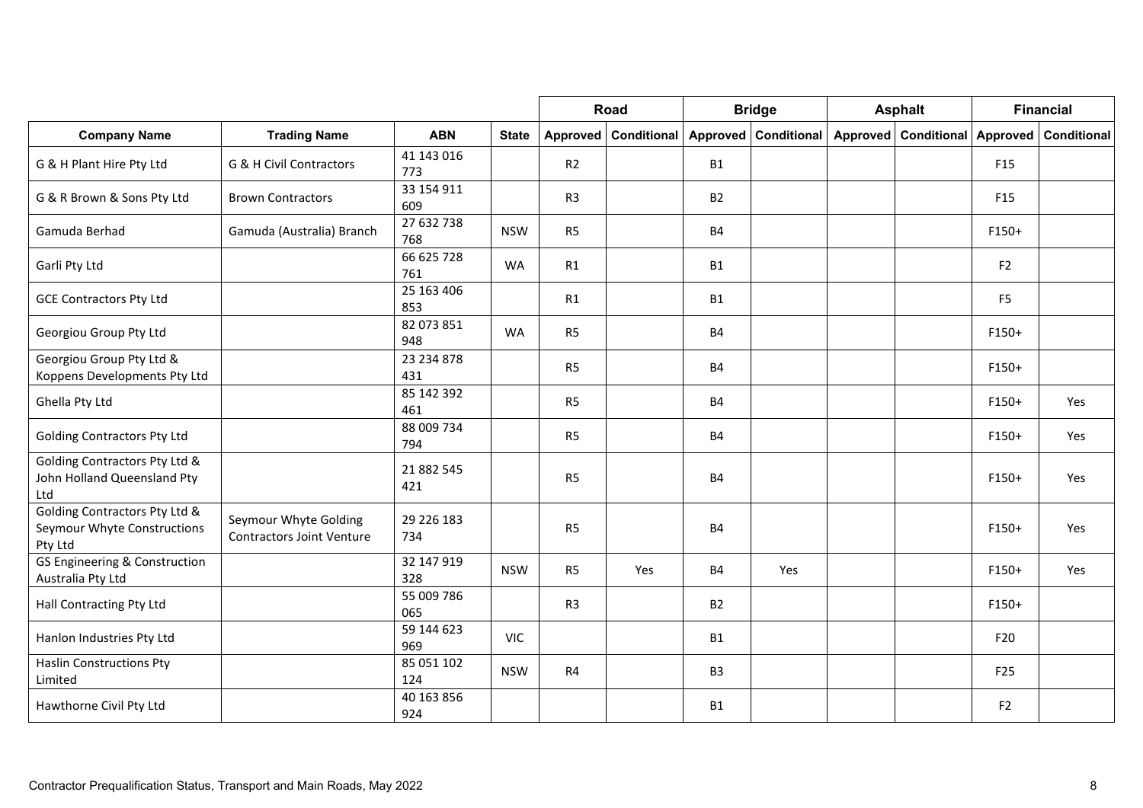|                                                                         |                                                           |                   |              |                | Road                 |                | <b>Bridge</b>        |                 | <b>Asphalt</b>              |                 | <b>Financial</b> |
|-------------------------------------------------------------------------|-----------------------------------------------------------|-------------------|--------------|----------------|----------------------|----------------|----------------------|-----------------|-----------------------------|-----------------|------------------|
| <b>Company Name</b>                                                     | <b>Trading Name</b>                                       | <b>ABN</b>        | <b>State</b> |                | Approved Conditional |                | Approved Conditional | <b>Approved</b> | <b>Conditional Approved</b> |                 | Conditional      |
| G & H Plant Hire Pty Ltd                                                | G & H Civil Contractors                                   | 41 143 016<br>773 |              | R <sub>2</sub> |                      | <b>B1</b>      |                      |                 |                             | F <sub>15</sub> |                  |
| G & R Brown & Sons Pty Ltd                                              | <b>Brown Contractors</b>                                  | 33 154 911<br>609 |              | R <sub>3</sub> |                      | <b>B2</b>      |                      |                 |                             | F <sub>15</sub> |                  |
| Gamuda Berhad                                                           | Gamuda (Australia) Branch                                 | 27 632 738<br>768 | <b>NSW</b>   | R <sub>5</sub> |                      | <b>B4</b>      |                      |                 |                             | $F150+$         |                  |
| Garli Pty Ltd                                                           |                                                           | 66 625 728<br>761 | <b>WA</b>    | R1             |                      | <b>B1</b>      |                      |                 |                             | F <sub>2</sub>  |                  |
| <b>GCE Contractors Pty Ltd</b>                                          |                                                           | 25 163 406<br>853 |              | R1             |                      | <b>B1</b>      |                      |                 |                             | F <sub>5</sub>  |                  |
| Georgiou Group Pty Ltd                                                  |                                                           | 82 073 851<br>948 | <b>WA</b>    | R <sub>5</sub> |                      | <b>B4</b>      |                      |                 |                             | $F150+$         |                  |
| Georgiou Group Pty Ltd &<br>Koppens Developments Pty Ltd                |                                                           | 23 234 878<br>431 |              | R <sub>5</sub> |                      | <b>B4</b>      |                      |                 |                             | $F150+$         |                  |
| Ghella Pty Ltd                                                          |                                                           | 85 142 392<br>461 |              | R <sub>5</sub> |                      | <b>B4</b>      |                      |                 |                             | $F150+$         | Yes              |
| <b>Golding Contractors Pty Ltd</b>                                      |                                                           | 88 009 734<br>794 |              | R <sub>5</sub> |                      | <b>B4</b>      |                      |                 |                             | $F150+$         | Yes              |
| Golding Contractors Pty Ltd &<br>John Holland Queensland Pty<br>Ltd     |                                                           | 21 882 545<br>421 |              | R <sub>5</sub> |                      | <b>B4</b>      |                      |                 |                             | F150+           | Yes              |
| Golding Contractors Pty Ltd &<br>Seymour Whyte Constructions<br>Pty Ltd | Seymour Whyte Golding<br><b>Contractors Joint Venture</b> | 29 226 183<br>734 |              | R <sub>5</sub> |                      | <b>B4</b>      |                      |                 |                             | $F150+$         | Yes              |
| GS Engineering & Construction<br>Australia Pty Ltd                      |                                                           | 32 147 919<br>328 | <b>NSW</b>   | R <sub>5</sub> | Yes                  | <b>B4</b>      | Yes                  |                 |                             | $F150+$         | Yes              |
| Hall Contracting Pty Ltd                                                |                                                           | 55 009 786<br>065 |              | R <sub>3</sub> |                      | <b>B2</b>      |                      |                 |                             | $F150+$         |                  |
| Hanlon Industries Pty Ltd                                               |                                                           | 59 144 623<br>969 | <b>VIC</b>   |                |                      | <b>B1</b>      |                      |                 |                             | F20             |                  |
| <b>Haslin Constructions Pty</b><br>Limited                              |                                                           | 85 051 102<br>124 | <b>NSW</b>   | R <sub>4</sub> |                      | B <sub>3</sub> |                      |                 |                             | F25             |                  |
| Hawthorne Civil Pty Ltd                                                 |                                                           | 40 163 856<br>924 |              |                |                      | <b>B1</b>      |                      |                 |                             | F2              |                  |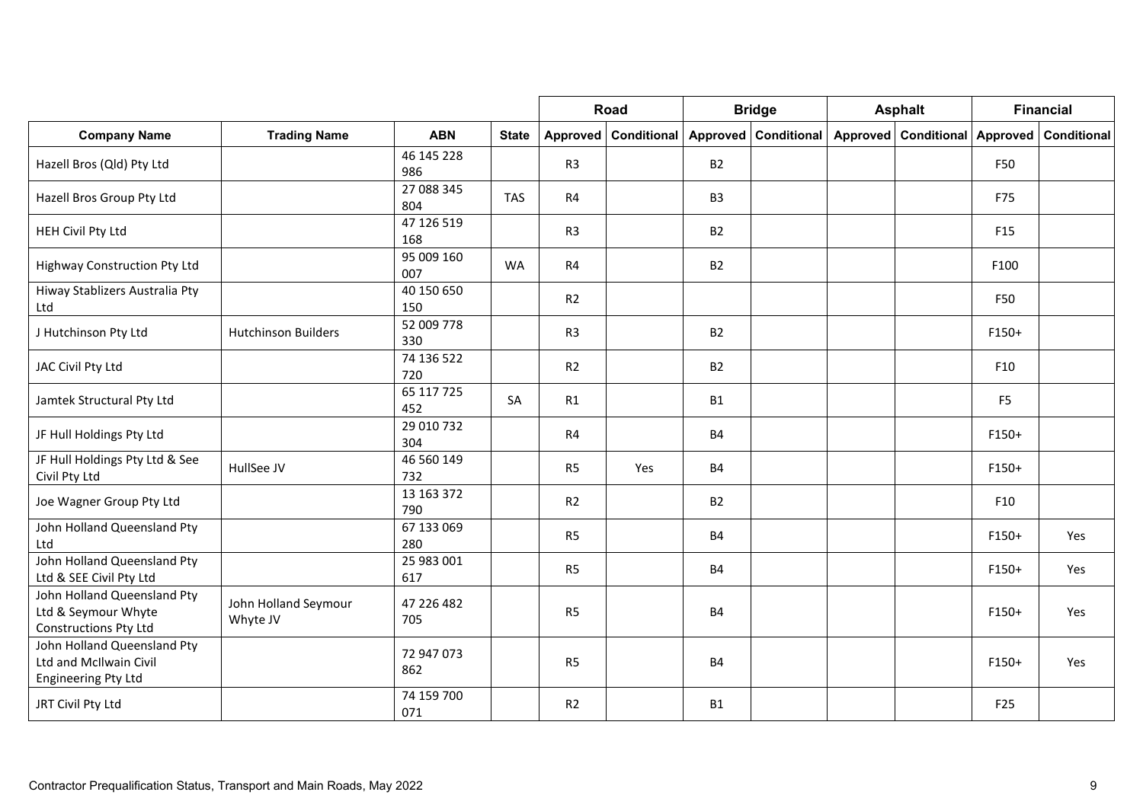|                                                                              |                                  |                   |              |                | Road                   |                | <b>Bridge</b>        | <b>Asphalt</b>                |                 | <b>Financial</b> |
|------------------------------------------------------------------------------|----------------------------------|-------------------|--------------|----------------|------------------------|----------------|----------------------|-------------------------------|-----------------|------------------|
| <b>Company Name</b>                                                          | <b>Trading Name</b>              | <b>ABN</b>        | <b>State</b> |                | Approved   Conditional |                | Approved Conditional | Approved Conditional Approved |                 | Conditional      |
| Hazell Bros (Qld) Pty Ltd                                                    |                                  | 46 145 228<br>986 |              | R <sub>3</sub> |                        | B2             |                      |                               | F50             |                  |
| Hazell Bros Group Pty Ltd                                                    |                                  | 27 088 345<br>804 | <b>TAS</b>   | R4             |                        | B <sub>3</sub> |                      |                               | F75             |                  |
| HEH Civil Pty Ltd                                                            |                                  | 47 126 519<br>168 |              | R <sub>3</sub> |                        | <b>B2</b>      |                      |                               | F15             |                  |
| Highway Construction Pty Ltd                                                 |                                  | 95 009 160<br>007 | <b>WA</b>    | R4             |                        | <b>B2</b>      |                      |                               | F100            |                  |
| Hiway Stablizers Australia Pty<br>Ltd                                        |                                  | 40 150 650<br>150 |              | R2             |                        |                |                      |                               | F50             |                  |
| J Hutchinson Pty Ltd                                                         | <b>Hutchinson Builders</b>       | 52 009 778<br>330 |              | R <sub>3</sub> |                        | <b>B2</b>      |                      |                               | $F150+$         |                  |
| JAC Civil Pty Ltd                                                            |                                  | 74 136 522<br>720 |              | R2             |                        | <b>B2</b>      |                      |                               | F10             |                  |
| Jamtek Structural Pty Ltd                                                    |                                  | 65 117 725<br>452 | SA           | R1             |                        | <b>B1</b>      |                      |                               | F <sub>5</sub>  |                  |
| JF Hull Holdings Pty Ltd                                                     |                                  | 29 010 732<br>304 |              | R4             |                        | <b>B4</b>      |                      |                               | $F150+$         |                  |
| JF Hull Holdings Pty Ltd & See<br>Civil Pty Ltd                              | HullSee JV                       | 46 560 149<br>732 |              | R <sub>5</sub> | Yes                    | <b>B4</b>      |                      |                               | $F150+$         |                  |
| Joe Wagner Group Pty Ltd                                                     |                                  | 13 163 372<br>790 |              | R2             |                        | <b>B2</b>      |                      |                               | F10             |                  |
| John Holland Queensland Pty<br>Ltd                                           |                                  | 67 133 069<br>280 |              | R <sub>5</sub> |                        | <b>B4</b>      |                      |                               | $F150+$         | Yes              |
| John Holland Queensland Pty<br>Ltd & SEE Civil Pty Ltd                       |                                  | 25 983 001<br>617 |              | R <sub>5</sub> |                        | <b>B4</b>      |                      |                               | $F150+$         | Yes              |
| John Holland Queensland Pty<br>Ltd & Seymour Whyte<br>Constructions Pty Ltd  | John Holland Seymour<br>Whyte JV | 47 226 482<br>705 |              | R <sub>5</sub> |                        | <b>B4</b>      |                      |                               | $F150+$         | Yes              |
| John Holland Queensland Pty<br>Ltd and McIlwain Civil<br>Engineering Pty Ltd |                                  | 72 947 073<br>862 |              | R <sub>5</sub> |                        | <b>B4</b>      |                      |                               | F150+           | Yes              |
| JRT Civil Pty Ltd                                                            |                                  | 74 159 700<br>071 |              | R2             |                        | <b>B1</b>      |                      |                               | F <sub>25</sub> |                  |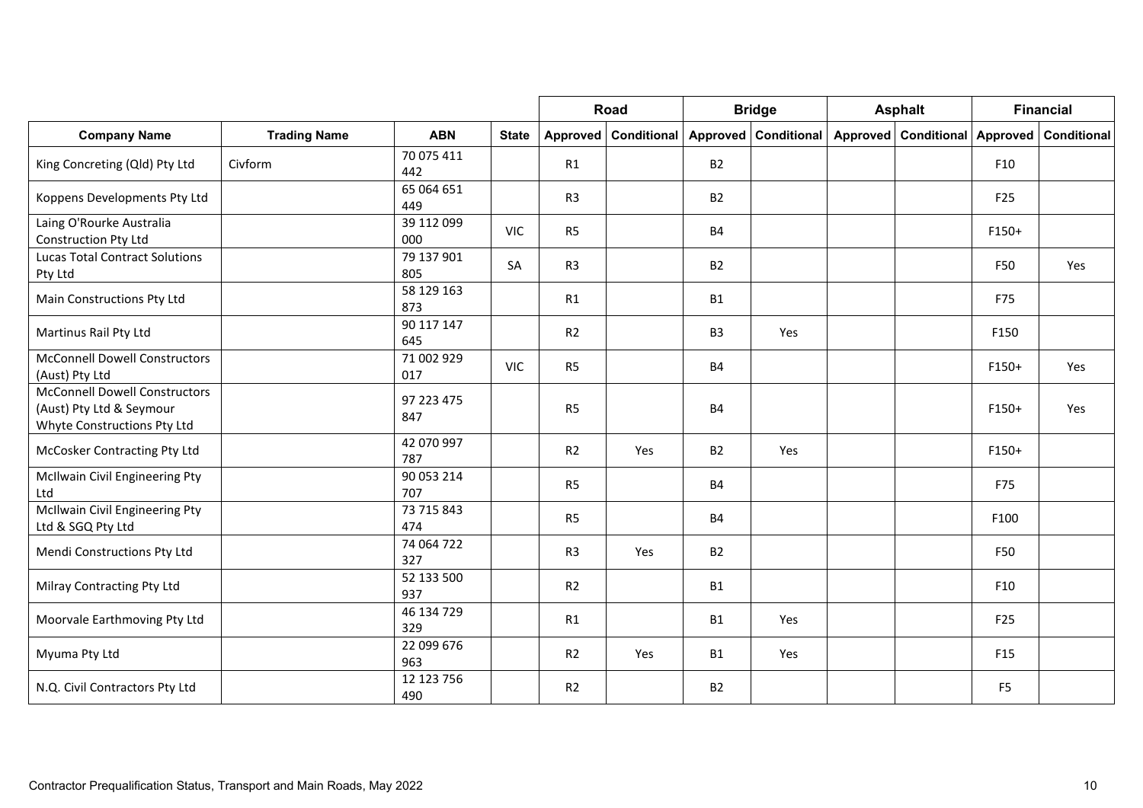|                                                                                                 |                     |                   |              |                | Road                 |                | <b>Bridge</b>      |          | <b>Asphalt</b>              |                 | <b>Financial</b> |
|-------------------------------------------------------------------------------------------------|---------------------|-------------------|--------------|----------------|----------------------|----------------|--------------------|----------|-----------------------------|-----------------|------------------|
| <b>Company Name</b>                                                                             | <b>Trading Name</b> | <b>ABN</b>        | <b>State</b> |                | Approved Conditional | Approved       | <b>Conditional</b> | Approved | <b>Conditional Approved</b> |                 | Conditional      |
| King Concreting (Qld) Pty Ltd                                                                   | Civform             | 70 075 411<br>442 |              | R1             |                      | <b>B2</b>      |                    |          |                             | F10             |                  |
| Koppens Developments Pty Ltd                                                                    |                     | 65 064 651<br>449 |              | R <sub>3</sub> |                      | <b>B2</b>      |                    |          |                             | F25             |                  |
| Laing O'Rourke Australia<br>Construction Pty Ltd                                                |                     | 39 112 099<br>000 | <b>VIC</b>   | R <sub>5</sub> |                      | <b>B4</b>      |                    |          |                             | $F150+$         |                  |
| <b>Lucas Total Contract Solutions</b><br>Pty Ltd                                                |                     | 79 137 901<br>805 | SA           | R <sub>3</sub> |                      | <b>B2</b>      |                    |          |                             | F50             | Yes              |
| Main Constructions Pty Ltd                                                                      |                     | 58 129 163<br>873 |              | R1             |                      | <b>B1</b>      |                    |          |                             | F75             |                  |
| Martinus Rail Pty Ltd                                                                           |                     | 90 117 147<br>645 |              | R <sub>2</sub> |                      | B <sub>3</sub> | Yes                |          |                             | F150            |                  |
| <b>McConnell Dowell Constructors</b><br>(Aust) Pty Ltd                                          |                     | 71 002 929<br>017 | <b>VIC</b>   | R <sub>5</sub> |                      | <b>B4</b>      |                    |          |                             | F150+           | Yes              |
| <b>McConnell Dowell Constructors</b><br>(Aust) Pty Ltd & Seymour<br>Whyte Constructions Pty Ltd |                     | 97 223 475<br>847 |              | R <sub>5</sub> |                      | <b>B4</b>      |                    |          |                             | $F150+$         | Yes              |
| McCosker Contracting Pty Ltd                                                                    |                     | 42 070 997<br>787 |              | R <sub>2</sub> | Yes                  | <b>B2</b>      | Yes                |          |                             | $F150+$         |                  |
| McIlwain Civil Engineering Pty<br>Ltd                                                           |                     | 90 053 214<br>707 |              | R <sub>5</sub> |                      | <b>B4</b>      |                    |          |                             | F75             |                  |
| McIlwain Civil Engineering Pty<br>Ltd & SGQ Pty Ltd                                             |                     | 73 715 843<br>474 |              | R <sub>5</sub> |                      | <b>B4</b>      |                    |          |                             | F100            |                  |
| Mendi Constructions Pty Ltd                                                                     |                     | 74 064 722<br>327 |              | R <sub>3</sub> | Yes                  | <b>B2</b>      |                    |          |                             | F50             |                  |
| Milray Contracting Pty Ltd                                                                      |                     | 52 133 500<br>937 |              | R <sub>2</sub> |                      | <b>B1</b>      |                    |          |                             | F10             |                  |
| Moorvale Earthmoving Pty Ltd                                                                    |                     | 46 134 729<br>329 |              | R1             |                      | <b>B1</b>      | Yes                |          |                             | F <sub>25</sub> |                  |
| Myuma Pty Ltd                                                                                   |                     | 22 099 676<br>963 |              | R <sub>2</sub> | Yes                  | <b>B1</b>      | Yes                |          |                             | F <sub>15</sub> |                  |
| N.Q. Civil Contractors Pty Ltd                                                                  |                     | 12 123 756<br>490 |              | R <sub>2</sub> |                      | <b>B2</b>      |                    |          |                             | F <sub>5</sub>  |                  |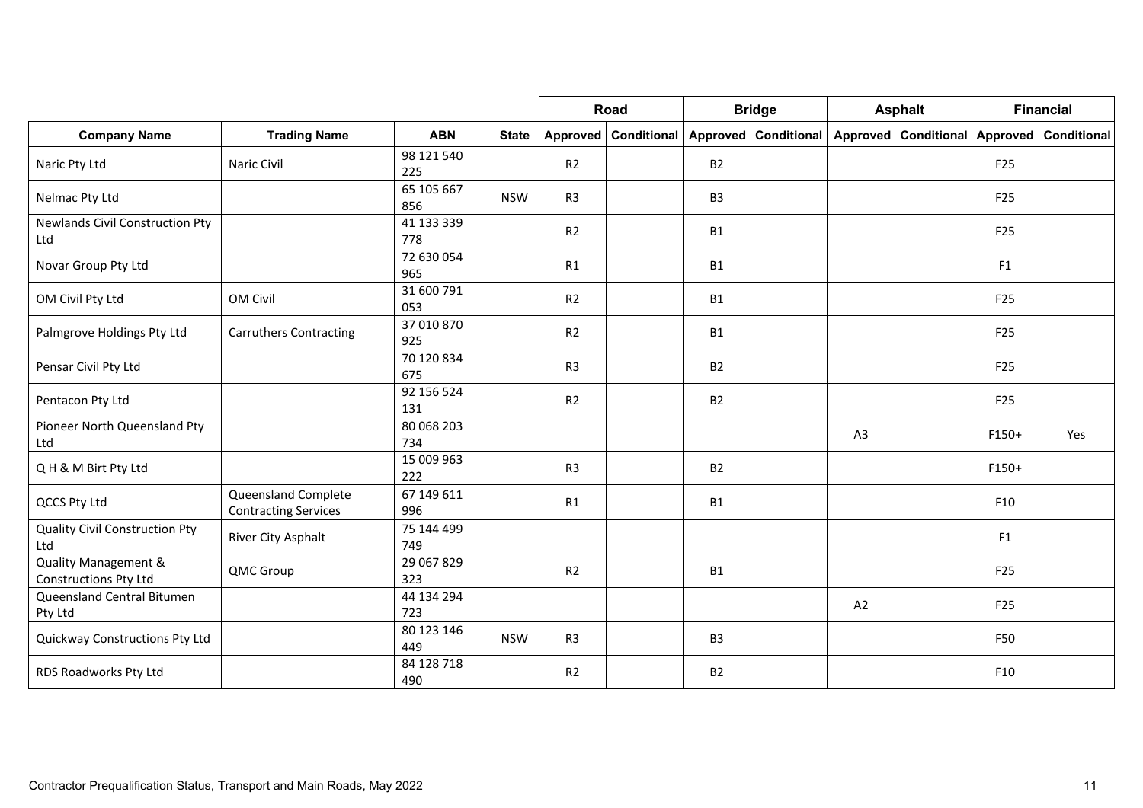|                                                          |                                                    |                   |              |                | Road                 |                | <b>Bridge</b>          |    | <b>Asphalt</b>                |                 | <b>Financial</b>   |
|----------------------------------------------------------|----------------------------------------------------|-------------------|--------------|----------------|----------------------|----------------|------------------------|----|-------------------------------|-----------------|--------------------|
| <b>Company Name</b>                                      | <b>Trading Name</b>                                | <b>ABN</b>        | <b>State</b> |                | Approved Conditional |                | Approved   Conditional |    | Approved Conditional Approved |                 | <b>Conditional</b> |
| Naric Pty Ltd                                            | Naric Civil                                        | 98 121 540<br>225 |              | R2             |                      | <b>B2</b>      |                        |    |                               | F <sub>25</sub> |                    |
| Nelmac Pty Ltd                                           |                                                    | 65 105 667<br>856 | <b>NSW</b>   | R <sub>3</sub> |                      | B <sub>3</sub> |                        |    |                               | F <sub>25</sub> |                    |
| <b>Newlands Civil Construction Pty</b><br>Ltd            |                                                    | 41 133 339<br>778 |              | R2             |                      | <b>B1</b>      |                        |    |                               | F <sub>25</sub> |                    |
| Novar Group Pty Ltd                                      |                                                    | 72 630 054<br>965 |              | R1             |                      | <b>B1</b>      |                        |    |                               | F1              |                    |
| OM Civil Pty Ltd                                         | OM Civil                                           | 31 600 791<br>053 |              | R2             |                      | <b>B1</b>      |                        |    |                               | F <sub>25</sub> |                    |
| Palmgrove Holdings Pty Ltd                               | <b>Carruthers Contracting</b>                      | 37 010 870<br>925 |              | R2             |                      | <b>B1</b>      |                        |    |                               | F25             |                    |
| Pensar Civil Pty Ltd                                     |                                                    | 70 120 834<br>675 |              | R <sub>3</sub> |                      | <b>B2</b>      |                        |    |                               | F <sub>25</sub> |                    |
| Pentacon Pty Ltd                                         |                                                    | 92 156 524<br>131 |              | R2             |                      | <b>B2</b>      |                        |    |                               | F <sub>25</sub> |                    |
| Pioneer North Queensland Pty<br>Ltd                      |                                                    | 80 068 203<br>734 |              |                |                      |                |                        | A3 |                               | F150+           | Yes                |
| QH & M Birt Pty Ltd                                      |                                                    | 15 009 963<br>222 |              | R <sub>3</sub> |                      | <b>B2</b>      |                        |    |                               | F150+           |                    |
| QCCS Pty Ltd                                             | Queensland Complete<br><b>Contracting Services</b> | 67 149 611<br>996 |              | R1             |                      | <b>B1</b>      |                        |    |                               | F10             |                    |
| <b>Quality Civil Construction Pty</b><br>Ltd             | River City Asphalt                                 | 75 144 499<br>749 |              |                |                      |                |                        |    |                               | F1              |                    |
| <b>Quality Management &amp;</b><br>Constructions Pty Ltd | QMC Group                                          | 29 067 829<br>323 |              | R <sub>2</sub> |                      | <b>B1</b>      |                        |    |                               | F <sub>25</sub> |                    |
| Queensland Central Bitumen<br>Pty Ltd                    |                                                    | 44 134 294<br>723 |              |                |                      |                |                        | A2 |                               | F25             |                    |
| Quickway Constructions Pty Ltd                           |                                                    | 80 123 146<br>449 | <b>NSW</b>   | R <sub>3</sub> |                      | B <sub>3</sub> |                        |    |                               | F50             |                    |
| RDS Roadworks Pty Ltd                                    |                                                    | 84 128 718<br>490 |              | R2             |                      | <b>B2</b>      |                        |    |                               | F10             |                    |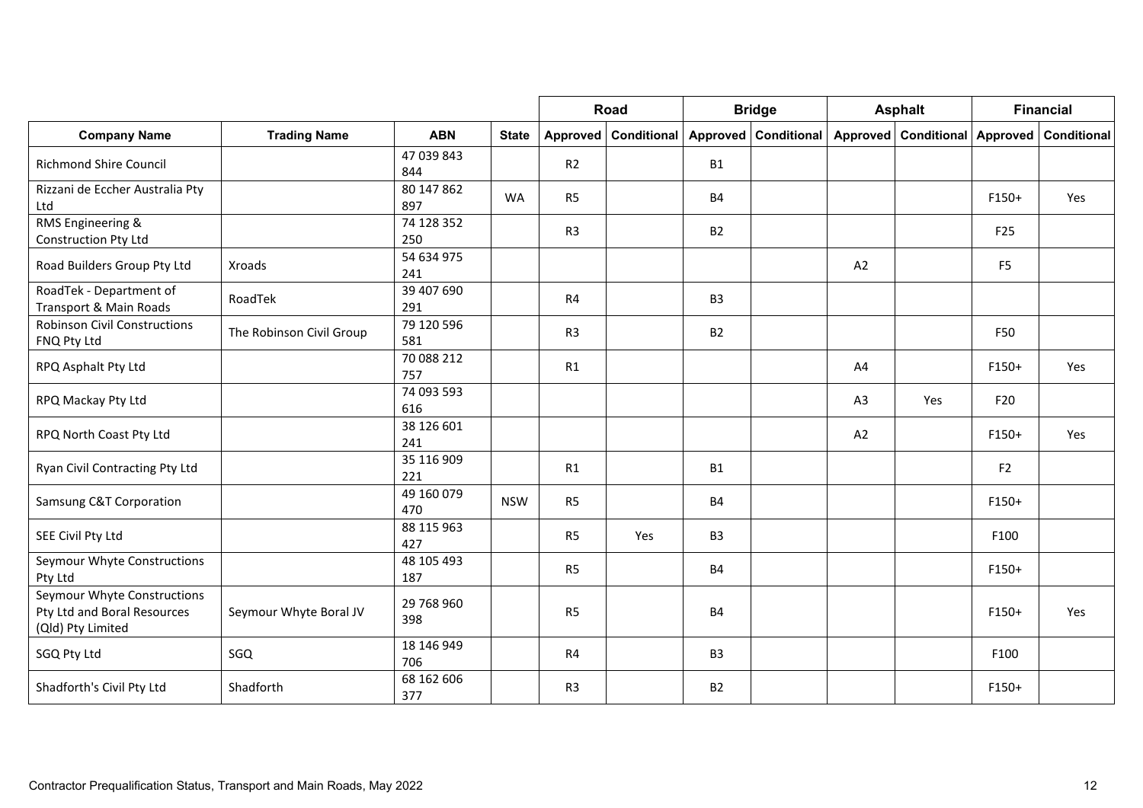|                                                                                 |                          |                   |              |                | Road                 |                | <b>Bridge</b>      |                | <b>Asphalt</b>       |                 | <b>Financial</b> |
|---------------------------------------------------------------------------------|--------------------------|-------------------|--------------|----------------|----------------------|----------------|--------------------|----------------|----------------------|-----------------|------------------|
| <b>Company Name</b>                                                             | <b>Trading Name</b>      | <b>ABN</b>        | <b>State</b> |                | Approved Conditional | Approved       | <b>Conditional</b> |                | Approved Conditional | Approved        | Conditional      |
| <b>Richmond Shire Council</b>                                                   |                          | 47 039 843<br>844 |              | R2             |                      | <b>B1</b>      |                    |                |                      |                 |                  |
| Rizzani de Eccher Australia Pty<br>Ltd                                          |                          | 80 147 862<br>897 | <b>WA</b>    | R <sub>5</sub> |                      | <b>B4</b>      |                    |                |                      | F150+           | Yes              |
| RMS Engineering &<br>Construction Pty Ltd                                       |                          | 74 128 352<br>250 |              | R <sub>3</sub> |                      | <b>B2</b>      |                    |                |                      | F <sub>25</sub> |                  |
| Road Builders Group Pty Ltd                                                     | Xroads                   | 54 634 975<br>241 |              |                |                      |                |                    | A2             |                      | F <sub>5</sub>  |                  |
| RoadTek - Department of<br>Transport & Main Roads                               | RoadTek                  | 39 407 690<br>291 |              | R <sub>4</sub> |                      | B <sub>3</sub> |                    |                |                      |                 |                  |
| <b>Robinson Civil Constructions</b><br>FNQ Pty Ltd                              | The Robinson Civil Group | 79 120 596<br>581 |              | R <sub>3</sub> |                      | <b>B2</b>      |                    |                |                      | F50             |                  |
| RPQ Asphalt Pty Ltd                                                             |                          | 70 088 212<br>757 |              | R1             |                      |                |                    | A4             |                      | F150+           | Yes              |
| RPQ Mackay Pty Ltd                                                              |                          | 74 093 593<br>616 |              |                |                      |                |                    | A <sub>3</sub> | Yes                  | F20             |                  |
| RPQ North Coast Pty Ltd                                                         |                          | 38 126 601<br>241 |              |                |                      |                |                    | A2             |                      | F150+           | Yes              |
| Ryan Civil Contracting Pty Ltd                                                  |                          | 35 116 909<br>221 |              | R1             |                      | <b>B1</b>      |                    |                |                      | F <sub>2</sub>  |                  |
| Samsung C&T Corporation                                                         |                          | 49 160 079<br>470 | <b>NSW</b>   | R <sub>5</sub> |                      | <b>B4</b>      |                    |                |                      | $F150+$         |                  |
| SEE Civil Pty Ltd                                                               |                          | 88 115 963<br>427 |              | R <sub>5</sub> | Yes                  | B <sub>3</sub> |                    |                |                      | F100            |                  |
| Seymour Whyte Constructions<br>Pty Ltd                                          |                          | 48 105 493<br>187 |              | R <sub>5</sub> |                      | <b>B4</b>      |                    |                |                      | $F150+$         |                  |
| Seymour Whyte Constructions<br>Pty Ltd and Boral Resources<br>(Qld) Pty Limited | Seymour Whyte Boral JV   | 29 768 960<br>398 |              | R <sub>5</sub> |                      | <b>B4</b>      |                    |                |                      | F150+           | Yes              |
| SGQ Pty Ltd                                                                     | SGQ                      | 18 146 949<br>706 |              | R4             |                      | B <sub>3</sub> |                    |                |                      | F100            |                  |
| Shadforth's Civil Pty Ltd                                                       | Shadforth                | 68 162 606<br>377 |              | R <sub>3</sub> |                      | <b>B2</b>      |                    |                |                      | $F150+$         |                  |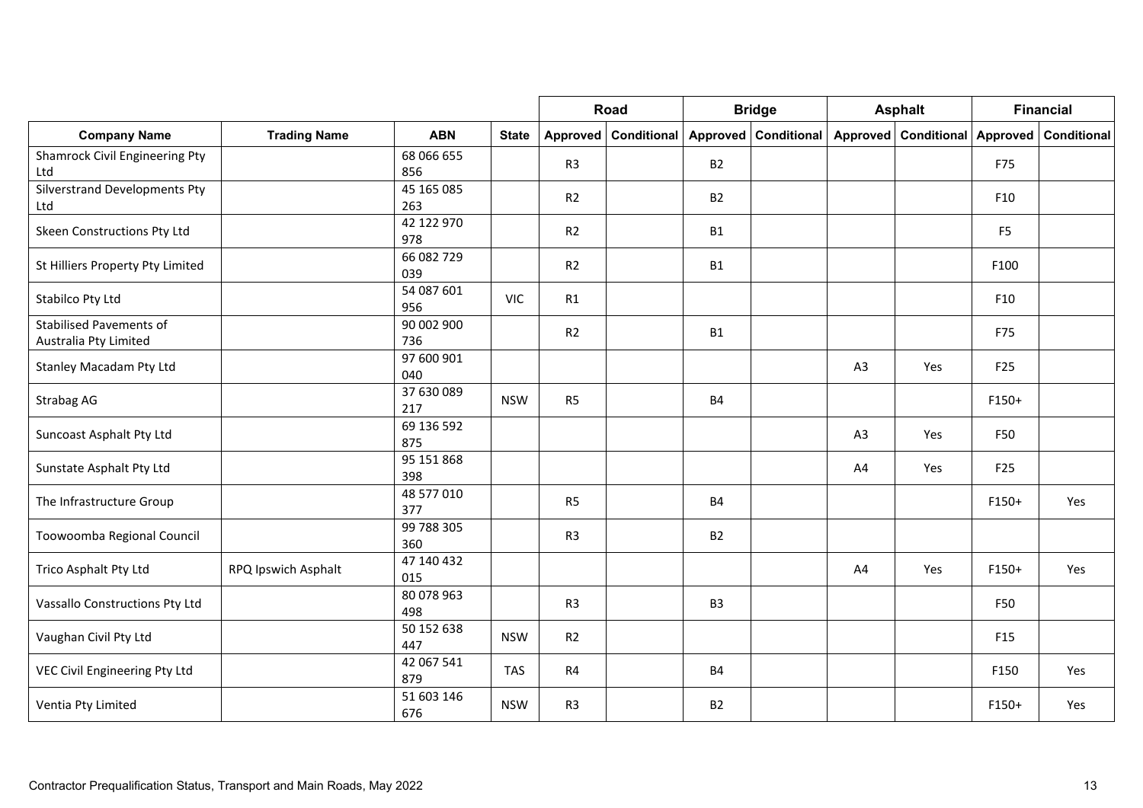|                                                         |                     |                   |              | Road           |                      | <b>Bridge</b>  |                      | <b>Asphalt</b> |                               | <b>Financial</b> |             |
|---------------------------------------------------------|---------------------|-------------------|--------------|----------------|----------------------|----------------|----------------------|----------------|-------------------------------|------------------|-------------|
| <b>Company Name</b>                                     | <b>Trading Name</b> | <b>ABN</b>        | <b>State</b> |                | Approved Conditional |                | Approved Conditional |                | Approved Conditional Approved |                  | Conditional |
| <b>Shamrock Civil Engineering Pty</b><br>Ltd            |                     | 68 066 655<br>856 |              | R <sub>3</sub> |                      | <b>B2</b>      |                      |                |                               | F75              |             |
| Silverstrand Developments Pty<br>Ltd                    |                     | 45 165 085<br>263 |              | R2             |                      | <b>B2</b>      |                      |                |                               | F10              |             |
| Skeen Constructions Pty Ltd                             |                     | 42 122 970<br>978 |              | R2             |                      | <b>B1</b>      |                      |                |                               | F <sub>5</sub>   |             |
| St Hilliers Property Pty Limited                        |                     | 66 082 729<br>039 |              | R2             |                      | <b>B1</b>      |                      |                |                               | F100             |             |
| Stabilco Pty Ltd                                        |                     | 54 087 601<br>956 | <b>VIC</b>   | R1             |                      |                |                      |                |                               | F10              |             |
| <b>Stabilised Pavements of</b><br>Australia Pty Limited |                     | 90 002 900<br>736 |              | R <sub>2</sub> |                      | <b>B1</b>      |                      |                |                               | F75              |             |
| Stanley Macadam Pty Ltd                                 |                     | 97 600 901<br>040 |              |                |                      |                |                      | A <sub>3</sub> | Yes                           | F25              |             |
| Strabag AG                                              |                     | 37 630 089<br>217 | <b>NSW</b>   | R <sub>5</sub> |                      | <b>B4</b>      |                      |                |                               | $F150+$          |             |
| Suncoast Asphalt Pty Ltd                                |                     | 69 136 592<br>875 |              |                |                      |                |                      | A <sub>3</sub> | Yes                           | F50              |             |
| Sunstate Asphalt Pty Ltd                                |                     | 95 151 868<br>398 |              |                |                      |                |                      | A4             | Yes                           | F25              |             |
| The Infrastructure Group                                |                     | 48 577 010<br>377 |              | R <sub>5</sub> |                      | <b>B4</b>      |                      |                |                               | $F150+$          | Yes         |
| Toowoomba Regional Council                              |                     | 99 788 305<br>360 |              | R <sub>3</sub> |                      | <b>B2</b>      |                      |                |                               |                  |             |
| Trico Asphalt Pty Ltd                                   | RPQ Ipswich Asphalt | 47 140 432<br>015 |              |                |                      |                |                      | A4             | Yes                           | $F150+$          | Yes         |
| Vassallo Constructions Pty Ltd                          |                     | 80 078 963<br>498 |              | R <sub>3</sub> |                      | B <sub>3</sub> |                      |                |                               | F50              |             |
| Vaughan Civil Pty Ltd                                   |                     | 50 152 638<br>447 | <b>NSW</b>   | R <sub>2</sub> |                      |                |                      |                |                               | F <sub>15</sub>  |             |
| VEC Civil Engineering Pty Ltd                           |                     | 42 067 541<br>879 | <b>TAS</b>   | R4             |                      | <b>B4</b>      |                      |                |                               | F150             | Yes         |
| Ventia Pty Limited                                      |                     | 51 603 146<br>676 | <b>NSW</b>   | R <sub>3</sub> |                      | <b>B2</b>      |                      |                |                               | F150+            | Yes         |